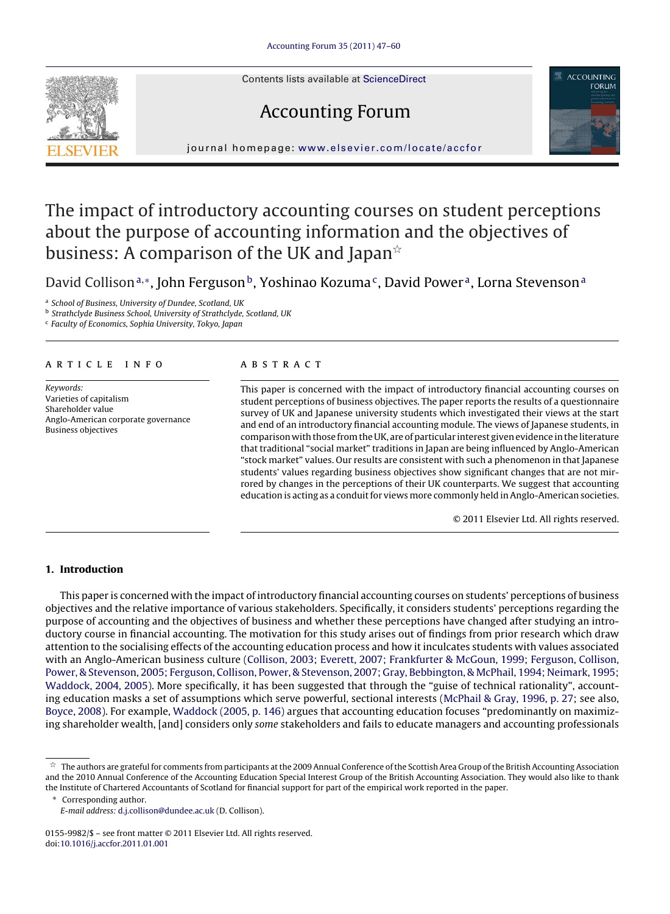Contents lists available at [ScienceDirect](http://www.sciencedirect.com/science/journal/01559982)

# Accounting Forum



journal homepage: [www.elsevier.com/locate/accfor](http://www.elsevier.com/locate/accfor)

## The impact of introductory accounting courses on student perceptions about the purpose of accounting information and the objectives of business: A comparison of the UK and Japan $^{\scriptscriptstyle\mathrm{\mathsf{\star}}}$

David Collison<sup>a,</sup>\*, John Ferguson<sup>b</sup>, Yoshinao Kozuma<sup>c</sup>, David Power<sup>a</sup>, Lorna Stevenson<sup>a</sup>

<sup>a</sup> School of Business, University of Dundee, Scotland, UK

<sup>b</sup> Strathclyde Business School, University of Strathclyde, Scotland, UK

<sup>c</sup> Faculty of Economics, Sophia University, Tokyo, Japan

### article info

Keywords: Varieties of capitalism Shareholder value Anglo-American corporate governance Business objectives

#### **ABSTRACT**

This paper is concerned with the impact of introductory financial accounting courses on student perceptions of business objectives. The paper reports the results of a questionnaire survey of UK and Japanese university students which investigated their views at the start and end of an introductory financial accounting module. The views of Japanese students, in comparison with those from the UK, are of particular interest given evidence in the literature that traditional "social market" traditions in Japan are being influenced by Anglo-American "stock market" values. Our results are consistent with such a phenomenon in that Japanese students' values regarding business objectives show significant changes that are not mirrored by changes in the perceptions of their UK counterparts. We suggest that accounting education is acting as a conduit for views more commonly held in Anglo-American societies.

© 2011 Elsevier Ltd. All rights reserved.

### **1. Introduction**

This paper is concerned with the impact of introductory financial accounting courses on students' perceptions of business objectives and the relative importance of various stakeholders. Specifically, it considers students' perceptions regarding the purpose of accounting and the objectives of business and whether these perceptions have changed after studying an introductory course in financial accounting. The motivation for this study arises out of findings from prior research which draw attention to the socialising effects of the accounting education process and how it inculcates students with values associated with an Anglo-American business culture [\(Collison, 2003; Everett, 2007; Frankfurter & McGoun, 1999; Ferguson, Collison,](#page--1-0) [Power, & Stevenson, 2005; Ferguson, Collison, Power, & Stevenson, 2007; Gray, Bebbington, & McPhail, 1994; Neimark, 1995;](#page--1-0) [Waddock, 2004, 2005\).](#page--1-0) More specifically, it has been suggested that through the "guise of technical rationality", accounting education masks a set of assumptions which serve powerful, sectional interests ([McPhail & Gray, 1996, p. 27;](#page--1-0) see also, [Boyce, 2008\).](#page--1-0) For example, [Waddock \(2005, p. 146\)](#page--1-0) argues that accounting education focuses "predominantly on maximizing shareholder wealth, [and] considers only some stakeholders and fails to educate managers and accounting professionals



 $^\star$  The authors are grateful for comments from participants at the 2009 Annual Conference of the Scottish Area Group of the British Accounting Association and the 2010 Annual Conference of the Accounting Education Special Interest Group of the British Accounting Association. They would also like to thank the Institute of Chartered Accountants of Scotland for financial support for part of the empirical work reported in the paper.

<sup>∗</sup> Corresponding author. E-mail address: [d.j.collison@dundee.ac.uk](mailto:d.j.collison@dundee.ac.uk) (D. Collison).

<sup>0155-9982/\$ –</sup> see front matter © 2011 Elsevier Ltd. All rights reserved. doi:[10.1016/j.accfor.2011.01.001](dx.doi.org/10.1016/j.accfor.2011.01.001)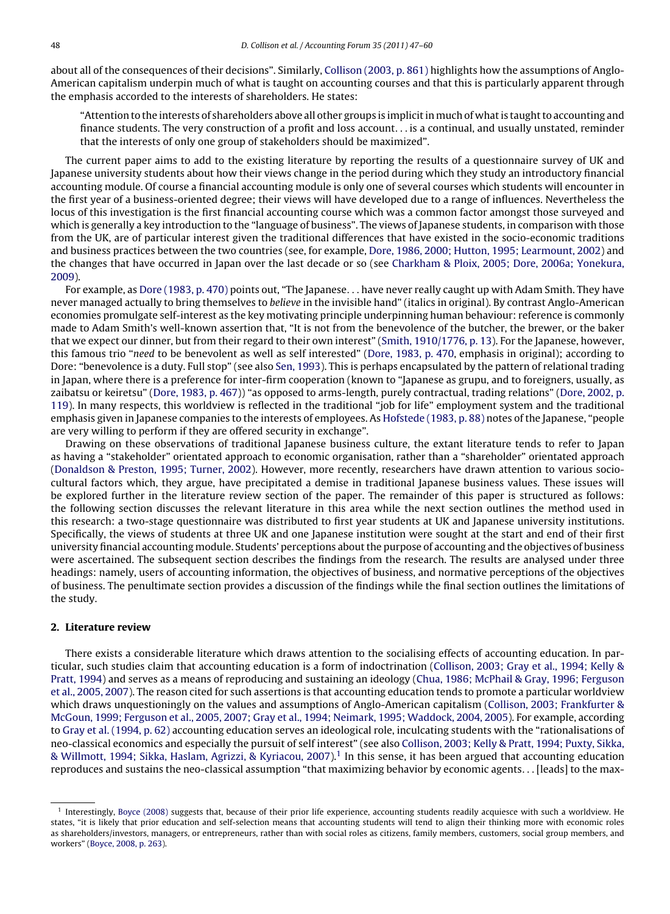about all of the consequences of their decisions". Similarly, [Collison \(2003, p. 861\)](#page--1-0) highlights how the assumptions of Anglo-American capitalism underpin much of what is taught on accounting courses and that this is particularly apparent through the emphasis accorded to the interests of shareholders. He states:

"Attention to the interests of shareholders above all other groups is implicit in much of what is taught to accounting and finance students. The very construction of a profit and loss account... is a continual, and usually unstated, reminder that the interests of only one group of stakeholders should be maximized".

The current paper aims to add to the existing literature by reporting the results of a questionnaire survey of UK and Japanese university students about how their views change in the period during which they study an introductory financial accounting module. Of course a financial accounting module is only one of several courses which students will encounter in the first year of a business-oriented degree; their views will have developed due to a range of influences. Nevertheless the locus of this investigation is the first financial accounting course which was a common factor amongst those surveyed and which is generally a key introduction to the "language of business". The views of Japanese students, in comparison with those from the UK, are of particular interest given the traditional differences that have existed in the socio-economic traditions and business practices between the two countries (see, for example, [Dore, 1986, 2000; Hutton, 1995; Learmount, 2002\)](#page--1-0) and the changes that have occurred in Japan over the last decade or so (see [Charkham & Ploix, 2005; Dore, 2006a; Yonekura,](#page--1-0) [2009\).](#page--1-0)

For example, as [Dore \(1983, p. 470\)](#page--1-0) points out, "The Japanese... have never really caught up with Adam Smith. They have never managed actually to bring themselves to believe in the invisible hand" (italics in original). By contrast Anglo-American economies promulgate self-interest as the key motivating principle underpinning human behaviour: reference is commonly made to Adam Smith's well-known assertion that, "It is not from the benevolence of the butcher, the brewer, or the baker that we expect our dinner, but from their regard to their own interest" [\(Smith, 1910/1776, p. 13\).](#page--1-0) For the Japanese, however, this famous trio "need to be benevolent as well as self interested" ([Dore, 1983, p. 470, e](#page--1-0)mphasis in original); according to Dore: "benevolence is a duty. Full stop" (see also [Sen, 1993\).](#page--1-0) This is perhaps encapsulated by the pattern of relational trading in Japan, where there is a preference for inter-firm cooperation (known to "Japanese as grupu, and to foreigners, usually, as zaibatsu or keiretsu" ([Dore, 1983, p. 467\)\)](#page--1-0) "as opposed to arms-length, purely contractual, trading relations" [\(Dore, 2002, p.](#page--1-0) [119\).](#page--1-0) In many respects, this worldview is reflected in the traditional "job for life" employment system and the traditional emphasis given in Japanese companies to the interests of employees. As [Hofstede \(1983, p. 88\)](#page--1-0) notes of the Japanese, "people are very willing to perform if they are offered security in exchange".

Drawing on these observations of traditional Japanese business culture, the extant literature tends to refer to Japan as having a "stakeholder" orientated approach to economic organisation, rather than a "shareholder" orientated approach [\(Donaldson & Preston, 1995; Turner, 2002\).](#page--1-0) However, more recently, researchers have drawn attention to various sociocultural factors which, they argue, have precipitated a demise in traditional Japanese business values. These issues will be explored further in the literature review section of the paper. The remainder of this paper is structured as follows: the following section discusses the relevant literature in this area while the next section outlines the method used in this research: a two-stage questionnaire was distributed to first year students at UK and Japanese university institutions. Specifically, the views of students at three UK and one Japanese institution were sought at the start and end of their first university financial accounting module. Students' perceptions about the purpose of accounting and the objectives of business were ascertained. The subsequent section describes the findings from the research. The results are analysed under three headings: namely, users of accounting information, the objectives of business, and normative perceptions of the objectives of business. The penultimate section provides a discussion of the findings while the final section outlines the limitations of the study.

#### **2. Literature review**

There exists a considerable literature which draws attention to the socialising effects of accounting education. In particular, such studies claim that accounting education is a form of indoctrination ([Collison, 2003; Gray et al., 1994; Kelly &](#page--1-0) [Pratt, 1994\)](#page--1-0) and serves as a means of reproducing and sustaining an ideology ([Chua, 1986; McPhail & Gray, 1996; Ferguson](#page--1-0) [et al., 2005, 2007\).](#page--1-0) The reason cited for such assertions is that accounting education tends to promote a particular worldview which draws unquestioningly on the values and assumptions of Anglo-American capitalism ([Collison, 2003; Frankfurter &](#page--1-0) [McGoun, 1999; Ferguson et al., 2005, 2007; Gray et al., 1994; Neimark, 1995; Waddock, 2004, 2005\).](#page--1-0) For example, according to [Gray et al. \(1994, p. 62\)](#page--1-0) accounting education serves an ideological role, inculcating students with the "rationalisations of neo-classical economics and especially the pursuit of self interest" (see also [Collison, 2003; Kelly & Pratt, 1994; Puxty, Sikka,](#page--1-0)  $\&$  Willmott, 1994; Sikka, Haslam, Agrizzi,  $\&$  Kyriacou, 2007).<sup>1</sup> In this sense, it has been argued that accounting education reproduces and sustains the neo-classical assumption "that maximizing behavior by economic agents...[leads] to the max-

<sup>1</sup> Interestingly, [Boyce \(2008\)](#page--1-0) suggests that, because of their prior life experience, accounting students readily acquiesce with such a worldview. He states, "it is likely that prior education and self-selection means that accounting students will tend to align their thinking more with economic roles as shareholders/investors, managers, or entrepreneurs, rather than with social roles as citizens, family members, customers, social group members, and workers" [\(Boyce, 2008, p. 263\).](#page--1-0)